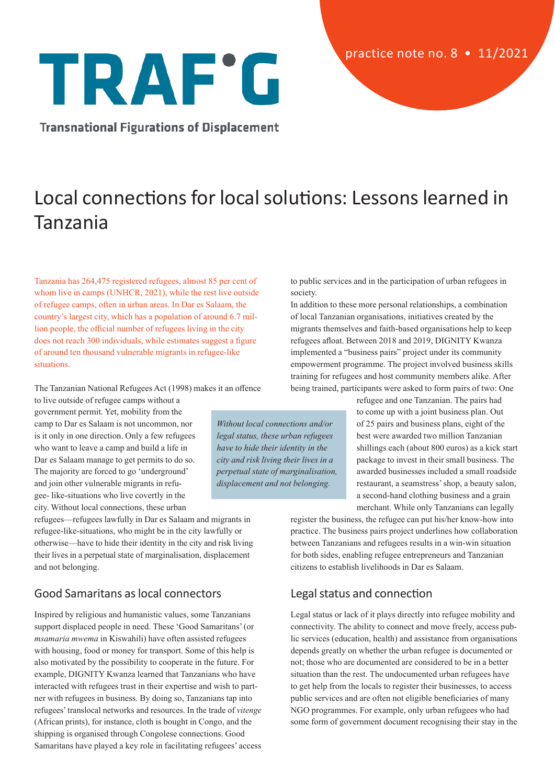# TRAF'G

**Transnational Figurations of Displacement** 

## Local connections for local solutions: Lessons learned in Tanzania

Tanzania has 264,475 registered refugees, almost 85 per cent of whom live in camps (UNHCR, 2021), while the rest live outside of refugee camps, often in urban areas. In Dar es Salaam, the country's largest city, which has a population of around 6.7 million people, the official number of refugees living in the city does not reach 300 individuals, while estimates suggest a figure of around ten thousand vulnerable migrants in refugee-like situations.

The Tanzanian National Refugees Act (1998) makes it an offence

to live outside of refugee camps without a government permit. Yet, mobility from the camp to Dar es Salaam is not uncommon, nor is it only in one direction. Only a few refugees who want to leave a camp and build a life in Dar es Salaam manage to get permits to do so. The majority are forced to go 'underground' and join other vulnerable migrants in refugee- like-situations who live covertly in the city. Without local connections, these urban

refugees—refugees lawfully in Dar es Salaam and migrants in refugee-like-situations, who might be in the city lawfully or otherwise—have to hide their identity in the city and risk living their lives in a perpetual state of marginalisation, displacement and not belonging.

### Good Samaritans as local connectors

Inspired by religious and humanistic values, some Tanzanians support displaced people in need. These 'Good Samaritans' (or *msamaria mwema* in Kiswahili) have often assisted refugees with housing, food or money for transport. Some of this help is also motivated by the possibility to cooperate in the future. For example, DIGNITY Kwanza learned that Tanzanians who have interacted with refugees trust in their expertise and wish to partner with refugees in business. By doing so, Tanzanians tap into refugees' translocal networks and resources. In the trade of *vitenge* (African prints), for instance, cloth is bought in Congo, and the shipping is organised through Congolese connections. Good Samaritans have played a key role in facilitating refugees' access

to public services and in the participation of urban refugees in society.

In addition to these more personal relationships, a combination of local Tanzanian organisations, initiatives created by the migrants themselves and faith-based organisations help to keep refugees afloat. Between 2018 and 2019, DIGNITY Kwanza implemented a "business pairs" project under its community empowerment programme. The project involved business skills training for refugees and host community members alike. After being trained, participants were asked to form pairs of two: One

> refugee and one Tanzanian. The pairs had to come up with a joint business plan. Out of 25 pairs and business plans, eight of the best were awarded two million Tanzanian shillings each (about 800 euros) as a kick start package to invest in their small business. The awarded businesses included a small roadside restaurant, a seamstress' shop, a beauty salon, a second-hand clothing business and a grain merchant. While only Tanzanians can legally

register the business, the refugee can put his/her know-how into practice. The business pairs project underlines how collaboration between Tanzanians and refugees results in a win-win situation for both sides, enabling refugee entrepreneurs and Tanzanian citizens to establish livelihoods in Dar es Salaam.

### Legal status and connection

Legal status or lack of it plays directly into refugee mobility and connectivity. The ability to connect and move freely, access public services (education, health) and assistance from organisations depends greatly on whether the urban refugee is documented or not; those who are documented are considered to be in a better situation than the rest. The undocumented urban refugees have to get help from the locals to register their businesses, to access public services and are often not eligible beneficiaries of many NGO programmes. For example, only urban refugees who had some form of government document recognising their stay in the

*Without local connections and/or legal status, these urban refugees have to hide their identity in the city and risk living their lives in a perpetual state of marginalisation, displacement and not belonging.*